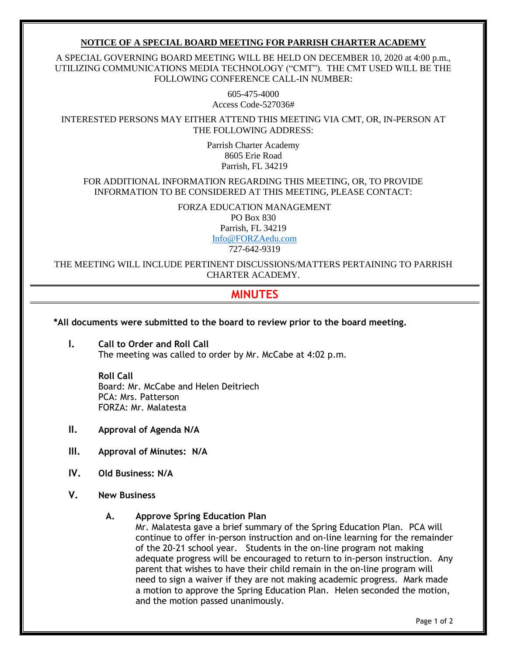### **NOTICE OF A SPECIAL BOARD MEETING FOR PARRISH CHARTER ACADEMY**

A SPECIAL GOVERNING BOARD MEETING WILL BE HELD ON DECEMBER 10, 2020 at 4:00 p.m., UTILIZING COMMUNICATIONS MEDIA TECHNOLOGY ("CMT"). THE CMT USED WILL BE THE FOLLOWING CONFERENCE CALL-IN NUMBER:

> 605-475-4000 Access Code-527036#

INTERESTED PERSONS MAY EITHER ATTEND THIS MEETING VIA CMT, OR, IN-PERSON AT THE FOLLOWING ADDRESS:

> Parrish Charter Academy 8605 Erie Road Parrish, FL 34219

FOR ADDITIONAL INFORMATION REGARDING THIS MEETING, OR, TO PROVIDE INFORMATION TO BE CONSIDERED AT THIS MEETING, PLEASE CONTACT:

> FORZA EDUCATION MANAGEMENT PO Box 830

Parrish, FL 34219 [Info@FORZAedu.com](mailto:Info@FORZAedu.com)

727-642-9319

THE MEETING WILL INCLUDE PERTINENT DISCUSSIONS/MATTERS PERTAINING TO PARRISH CHARTER ACADEMY.

# **MINUTES**

**\*All documents were submitted to the board to review prior to the board meeting.** 

**I. Call to Order and Roll Call** The meeting was called to order by Mr. McCabe at 4:02 p.m.

> **Roll Call** Board: Mr. McCabe and Helen Deitriech PCA: Mrs. Patterson FORZA: Mr. Malatesta

- **II. Approval of Agenda N/A**
- **III. Approval of Minutes: N/A**
- **IV. Old Business: N/A**
- **V. New Business** 
	- **A. Approve Spring Education Plan**

Mr. Malatesta gave a brief summary of the Spring Education Plan. PCA will continue to offer in-person instruction and on-line learning for the remainder of the 20-21 school year. Students in the on-line program not making adequate progress will be encouraged to return to in-person instruction. Any parent that wishes to have their child remain in the on-line program will need to sign a waiver if they are not making academic progress. Mark made a motion to approve the Spring Education Plan. Helen seconded the motion, and the motion passed unanimously.